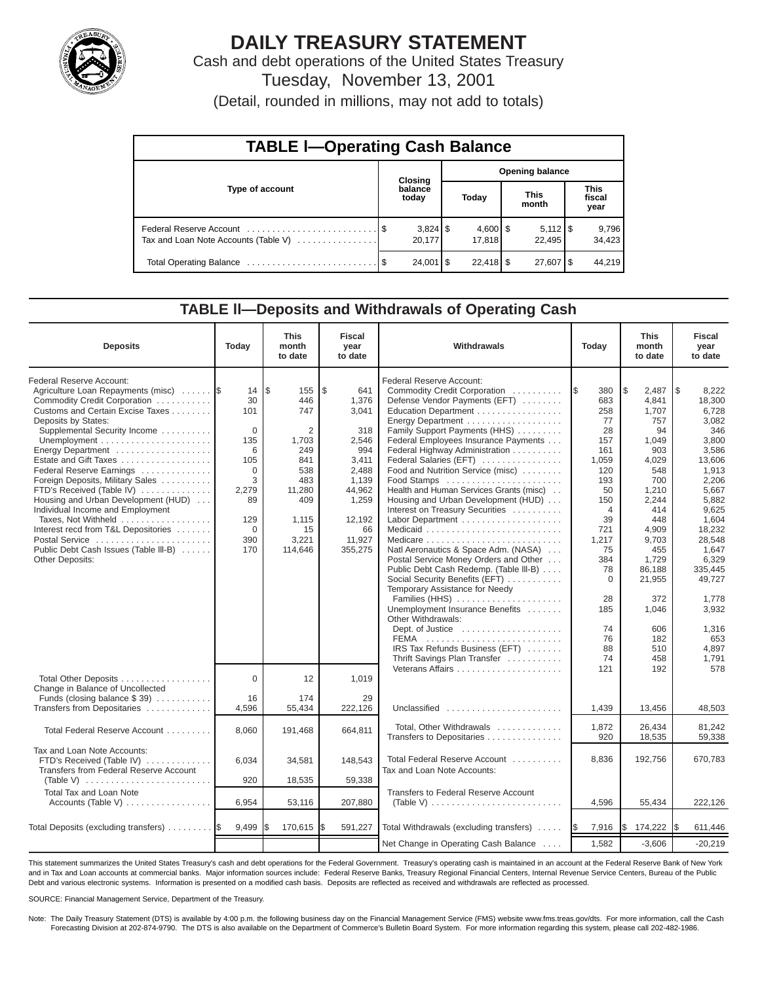

# **DAILY TREASURY STATEMENT**

Cash and debt operations of the United States Treasury Tuesday, November 13, 2001

(Detail, rounded in millions, may not add to totals)

| <b>TABLE I-Operating Cash Balance</b> |  |                      |                        |                             |  |                                 |  |                               |
|---------------------------------------|--|----------------------|------------------------|-----------------------------|--|---------------------------------|--|-------------------------------|
| Type of account                       |  | Closing              | <b>Opening balance</b> |                             |  |                                 |  |                               |
|                                       |  | balance<br>today     |                        | Today                       |  | <b>This</b><br>month            |  | <b>This</b><br>fiscal<br>year |
| Tax and Loan Note Accounts (Table V)  |  | $3,824$ \$<br>20,177 |                        | $4,600$ $\mid$ \$<br>17.818 |  | $5,112$ $\frac{1}{3}$<br>22.495 |  | 9,796<br>34,423               |
|                                       |  | $24,001$ $\sqrt{5}$  |                        | $22,418$ \$                 |  | $27,607$ $\frac{8}{3}$          |  | 44.219                        |

#### **TABLE ll—Deposits and Withdrawals of Operating Cash**

| <b>Deposits</b>                                                                                                                                                                                                                                                                                                                                                                                                                                                                                                                                             | Today                                                                                                              | <b>This</b><br>month<br>to date                                                                                        | <b>Fiscal</b><br>year<br>to date                                                                                                      | Withdrawals                                                                                                                                                                                                                                                                                                                                                                                                                                                                                                                                                                                                                                                                                                                                                                                                                              | Today                                                                                                                                                                                                        | <b>This</b><br>month<br>to date                                                                                                                                                                                             | <b>Fiscal</b><br>year<br>to date                                                                                                                                                                                                                        |
|-------------------------------------------------------------------------------------------------------------------------------------------------------------------------------------------------------------------------------------------------------------------------------------------------------------------------------------------------------------------------------------------------------------------------------------------------------------------------------------------------------------------------------------------------------------|--------------------------------------------------------------------------------------------------------------------|------------------------------------------------------------------------------------------------------------------------|---------------------------------------------------------------------------------------------------------------------------------------|------------------------------------------------------------------------------------------------------------------------------------------------------------------------------------------------------------------------------------------------------------------------------------------------------------------------------------------------------------------------------------------------------------------------------------------------------------------------------------------------------------------------------------------------------------------------------------------------------------------------------------------------------------------------------------------------------------------------------------------------------------------------------------------------------------------------------------------|--------------------------------------------------------------------------------------------------------------------------------------------------------------------------------------------------------------|-----------------------------------------------------------------------------------------------------------------------------------------------------------------------------------------------------------------------------|---------------------------------------------------------------------------------------------------------------------------------------------------------------------------------------------------------------------------------------------------------|
| Federal Reserve Account:<br>Agriculture Loan Repayments (misc)<br>Commodity Credit Corporation<br>Customs and Certain Excise Taxes<br>Deposits by States:<br>Supplemental Security Income<br>Energy Department<br>Estate and Gift Taxes<br>Federal Reserve Earnings<br>Foreign Deposits, Military Sales<br>FTD's Received (Table IV)<br>Housing and Urban Development (HUD)<br>Individual Income and Employment<br>Taxes, Not Withheld<br>Interest recd from T&L Depositories<br>Postal Service<br>Public Debt Cash Issues (Table III-B)<br>Other Deposits: | 14<br>30<br>101<br>$\Omega$<br>135<br>6<br>105<br>$\Omega$<br>3<br>2,279<br>89<br>129<br>$\mathbf 0$<br>390<br>170 | l\$<br>155<br>446<br>747<br>2<br>1,703<br>249<br>841<br>538<br>483<br>11,280<br>409<br>1,115<br>15<br>3,221<br>114,646 | \$<br>641<br>1,376<br>3,041<br>318<br>2,546<br>994<br>3,411<br>2,488<br>1,139<br>44,962<br>1,259<br>12,192<br>66<br>11,927<br>355,275 | Federal Reserve Account:<br>Commodity Credit Corporation<br>Defense Vendor Payments (EFT)<br>Education Department<br>Energy Department<br>Family Support Payments (HHS)<br>Federal Employees Insurance Payments<br>Federal Highway Administration<br>Federal Salaries (EFT)<br>Food and Nutrition Service (misc)<br>Food Stamps<br>Health and Human Services Grants (misc)<br>Housing and Urban Development (HUD)<br>Interest on Treasury Securities<br>Labor Department<br>Natl Aeronautics & Space Adm. (NASA)<br>Postal Service Money Orders and Other<br>Public Debt Cash Redemp. (Table III-B)<br>Social Security Benefits (EFT)<br>Temporary Assistance for Needy<br>Families (HHS)<br>Unemployment Insurance Benefits<br>Other Withdrawals:<br>Dept. of Justice<br>IRS Tax Refunds Business (EFT)<br>Thrift Savings Plan Transfer | 380<br>1\$<br>683<br>258<br>77<br>28<br>157<br>161<br>1,059<br>120<br>193<br>50<br>150<br>$\overline{4}$<br>39<br>721<br>1,217<br>75<br>384<br>78<br>$\mathbf 0$<br>28<br>185<br>74<br>76<br>88<br>74<br>121 | l\$<br>2,487<br>4,841<br>1,707<br>757<br>94<br>1,049<br>903<br>4,029<br>548<br>700<br>1,210<br>2,244<br>414<br>448<br>4,909<br>9,703<br>455<br>1,729<br>86,188<br>21,955<br>372<br>1,046<br>606<br>182<br>510<br>458<br>192 | 1\$<br>8,222<br>18,300<br>6,728<br>3,082<br>346<br>3,800<br>3,586<br>13,606<br>1,913<br>2,206<br>5,667<br>5,882<br>9,625<br>1,604<br>18,232<br>28,548<br>1,647<br>6,329<br>335,445<br>49.727<br>1.778<br>3,932<br>1,316<br>653<br>4.897<br>1,791<br>578 |
| Total Other Deposits<br>Change in Balance of Uncollected<br>Funds (closing balance \$39)                                                                                                                                                                                                                                                                                                                                                                                                                                                                    | $\Omega$<br>16                                                                                                     | 12<br>174                                                                                                              | 1,019<br>29                                                                                                                           |                                                                                                                                                                                                                                                                                                                                                                                                                                                                                                                                                                                                                                                                                                                                                                                                                                          |                                                                                                                                                                                                              |                                                                                                                                                                                                                             |                                                                                                                                                                                                                                                         |
| Transfers from Depositaries                                                                                                                                                                                                                                                                                                                                                                                                                                                                                                                                 | 4,596                                                                                                              | 55,434                                                                                                                 | 222,126                                                                                                                               | Unclassified                                                                                                                                                                                                                                                                                                                                                                                                                                                                                                                                                                                                                                                                                                                                                                                                                             | 1,439                                                                                                                                                                                                        | 13,456                                                                                                                                                                                                                      | 48,503                                                                                                                                                                                                                                                  |
| Total Federal Reserve Account                                                                                                                                                                                                                                                                                                                                                                                                                                                                                                                               | 8,060                                                                                                              | 191,468                                                                                                                | 664,811                                                                                                                               | Total, Other Withdrawals<br>Transfers to Depositaries                                                                                                                                                                                                                                                                                                                                                                                                                                                                                                                                                                                                                                                                                                                                                                                    | 1,872<br>920                                                                                                                                                                                                 | 26.434<br>18,535                                                                                                                                                                                                            | 81.242<br>59,338                                                                                                                                                                                                                                        |
| Tax and Loan Note Accounts:<br>FTD's Received (Table IV)<br>Transfers from Federal Reserve Account                                                                                                                                                                                                                                                                                                                                                                                                                                                          | 6,034<br>920                                                                                                       | 34,581<br>18,535                                                                                                       | 148,543<br>59,338                                                                                                                     | Total Federal Reserve Account<br>Tax and Loan Note Accounts:                                                                                                                                                                                                                                                                                                                                                                                                                                                                                                                                                                                                                                                                                                                                                                             | 8,836                                                                                                                                                                                                        | 192,756                                                                                                                                                                                                                     | 670,783                                                                                                                                                                                                                                                 |
| <b>Total Tax and Loan Note</b><br>Accounts (Table V)                                                                                                                                                                                                                                                                                                                                                                                                                                                                                                        | 6,954                                                                                                              | 53,116                                                                                                                 | 207,880                                                                                                                               | <b>Transfers to Federal Reserve Account</b><br>(Table V) $\ldots \ldots \ldots \ldots \ldots \ldots \ldots \ldots$                                                                                                                                                                                                                                                                                                                                                                                                                                                                                                                                                                                                                                                                                                                       | 4,596                                                                                                                                                                                                        | 55,434                                                                                                                                                                                                                      | 222,126                                                                                                                                                                                                                                                 |
| Total Deposits (excluding transfers)                                                                                                                                                                                                                                                                                                                                                                                                                                                                                                                        | 9,499                                                                                                              | 170,615                                                                                                                | I\$<br>591,227                                                                                                                        | Total Withdrawals (excluding transfers)                                                                                                                                                                                                                                                                                                                                                                                                                                                                                                                                                                                                                                                                                                                                                                                                  | 7,916<br><b>IS</b>                                                                                                                                                                                           | S.<br>174,222                                                                                                                                                                                                               | 611,446<br>I\$                                                                                                                                                                                                                                          |
|                                                                                                                                                                                                                                                                                                                                                                                                                                                                                                                                                             |                                                                                                                    |                                                                                                                        |                                                                                                                                       | Net Change in Operating Cash Balance                                                                                                                                                                                                                                                                                                                                                                                                                                                                                                                                                                                                                                                                                                                                                                                                     | 1,582                                                                                                                                                                                                        | $-3,606$                                                                                                                                                                                                                    | $-20,219$                                                                                                                                                                                                                                               |

This statement summarizes the United States Treasury's cash and debt operations for the Federal Government. Treasury's operating cash is maintained in an account at the Federal Reserve Bank of New York and in Tax and Loan accounts at commercial banks. Major information sources include: Federal Reserve Banks, Treasury Regional Financial Centers, Internal Revenue Service Centers, Bureau of the Public Debt and various electronic systems. Information is presented on a modified cash basis. Deposits are reflected as received and withdrawals are reflected as processed.

SOURCE: Financial Management Service, Department of the Treasury.

Note: The Daily Treasury Statement (DTS) is available by 4:00 p.m. the following business day on the Financial Management Service (FMS) website www.fms.treas.gov/dts. For more information, call the Cash Forecasting Division at 202-874-9790. The DTS is also available on the Department of Commerce's Bulletin Board System. For more information regarding this system, please call 202-482-1986.